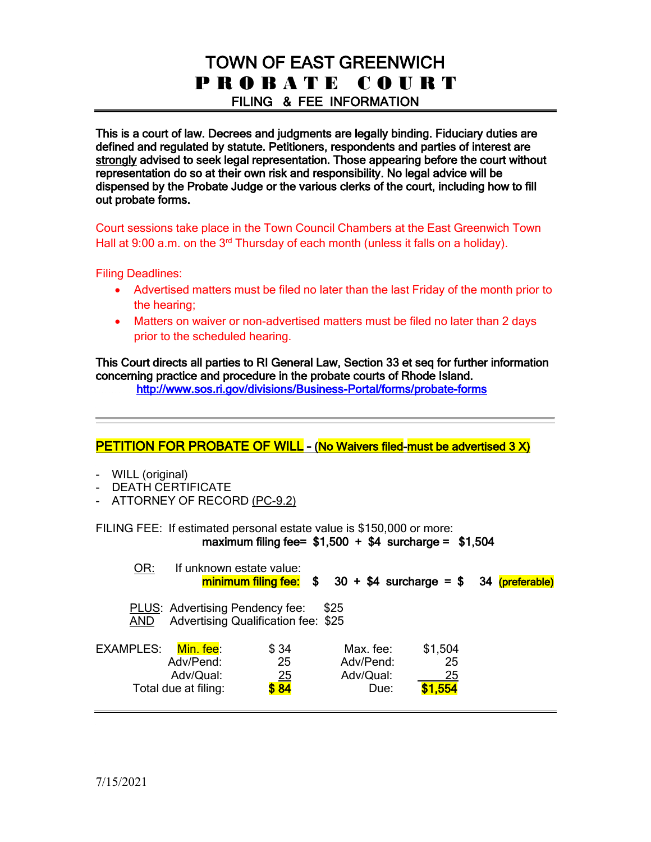# TOWN OF EAST GREENWICH P R O B A T E C O U R T FILING & FEE INFORMATION

This is a court of law. Decrees and judgments are legally binding. Fiduciary duties are defined and regulated by statute. Petitioners, respondents and parties of interest are strongly advised to seek legal representation. Those appearing before the court without representation do so at their own risk and responsibility. No legal advice will be dispensed by the Probate Judge or the various clerks of the court, including how to fill out probate forms.

Court sessions take place in the Town Council Chambers at the East Greenwich Town Hall at 9:00 a.m. on the 3<sup>rd</sup> Thursday of each month (unless it falls on a holiday).

Filing Deadlines:

- Advertised matters must be filed no later than the last Friday of the month prior to the hearing;
- Matters on waiver or non-advertised matters must be filed no later than 2 days prior to the scheduled hearing.

This Court directs all parties to RI General Law, Section 33 et seq for further information concerning practice and procedure in the probate courts of Rhode Island.

i<br>L

<http://www.sos.ri.gov/divisions/Business-Portal/forms/probate-forms>

### PETITION FOR PROBATE OF WILL - (No Waivers filed-must be advertised 3 X)

- WILL (original)
- DEATH CERTIFICATE
- ATTORNEY OF RECORD (PC-9.2)

FILING FEE: If estimated personal estate value is \$150,000 or more: maximum filing fee=  $$1,500 + $4$  surcharge = \$1.504

| OR:              |                                                             | If unknown estate value:                   |                                             |                                | $minimum filing fee: $ 30 + $4 surface = $ 34 (preferable)$ |
|------------------|-------------------------------------------------------------|--------------------------------------------|---------------------------------------------|--------------------------------|-------------------------------------------------------------|
| <b>AND</b>       | <b>PLUS:</b> Advertising Pendency fee:                      | <b>Advertising Qualification fee: \$25</b> | \$25                                        |                                |                                                             |
| <b>EXAMPLES:</b> | Min. fee:<br>Adv/Pend:<br>Adv/Qual:<br>Total due at filing: | \$34<br>25<br>$\frac{25}{384}$             | Max. fee:<br>Adv/Pend:<br>Adv/Qual:<br>Due: | \$1,504<br>25<br>25<br>\$1.554 |                                                             |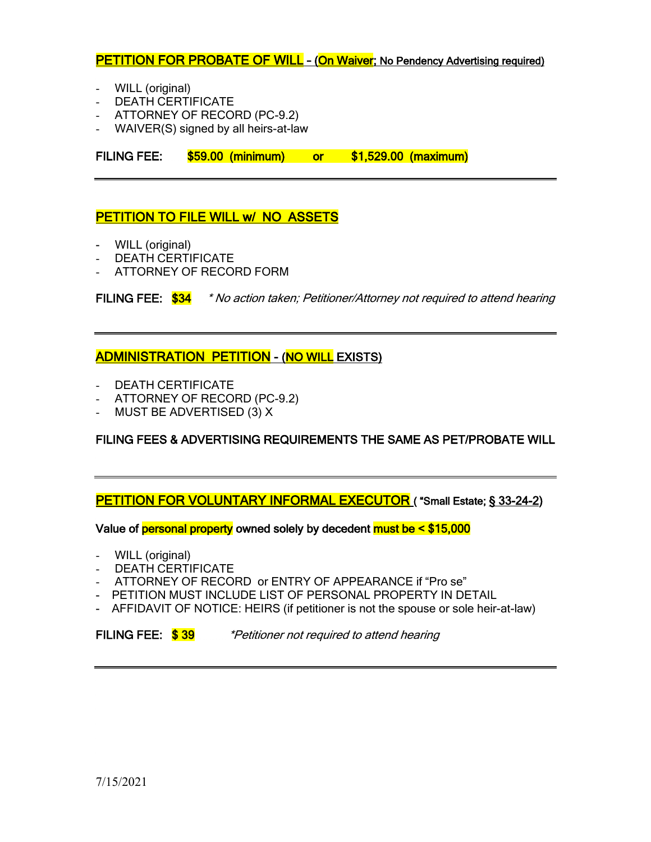### **PETITION FOR PROBATE OF WILL - (On Waiver; No Pendency Advertising required)**

- WILL (original)
- DEATH CERTIFICATE
- ATTORNEY OF RECORD (PC-9.2)
- WAIVER(S) signed by all heirs-at-law

FILING FEE: \$59.00 (minimum) or \$1,529.00 (maximum)

#### PETITION TO FILE WILL **w/ NO ASSETS**

- WILL (original)
- DEATH CERTIFICATE
- ATTORNEY OF RECORD FORM

FILING FEE:  $\frac{$34}{}$  \* No action taken; Petitioner/Attorney not required to attend hearing

#### ADMINISTRATION PETITION - (NO WILL EXISTS)

- DEATH CERTIFICATE
- ATTORNEY OF RECORD (PC-9.2)
- MUST BE ADVERTISED (3) X

FILING FEES & ADVERTISING REQUIREMENTS THE SAME AS PET/PROBATE WILL

PETITION FOR VOLUNTARY INFORMAL EXECUTOR ("Small Estate; § 33-24-2)

Value of **personal property** owned solely by decedent **must be < \$15,000** 

- WILL (original)
- DEATH CERTIFICATE
- ATTORNEY OF RECORD or ENTRY OF APPEARANCE if "Pro se"
- PETITION MUST INCLUDE LIST OF PERSONAL PROPERTY IN DETAIL
- AFFIDAVIT OF NOTICE: HEIRS (if petitioner is not the spouse or sole heir-at-law)

FILING FEE:  $\frac{$39}{9}$  \*Petitioner not required to attend hearing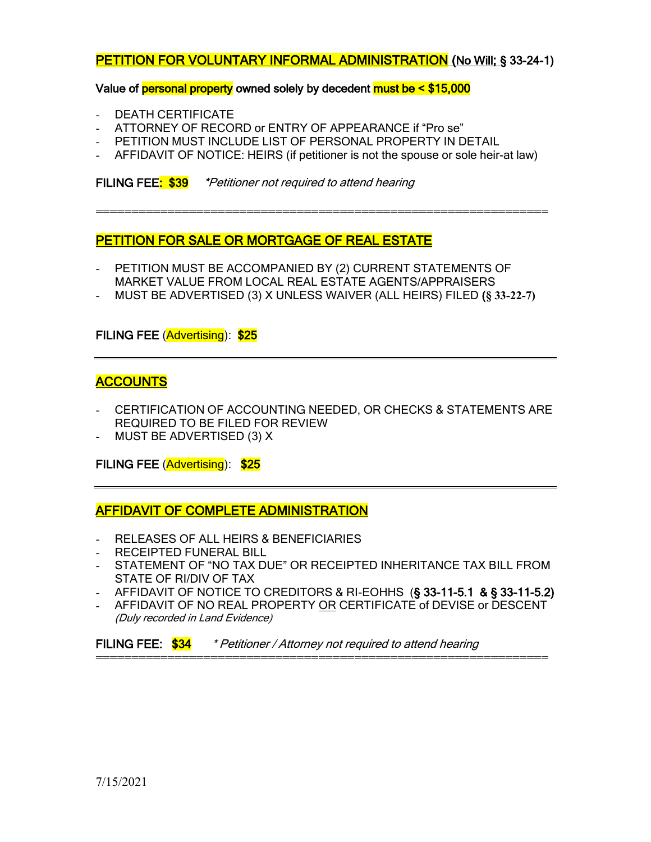### PETITION FOR VOLUNTARY INFORMAL ADMINISTRATION (No Will; § 33-24-1)

Value of **personal property** owned solely by decedent **must be**  $\leq$  **\$15,000** 

- DEATH CERTIFICATE
- ATTORNEY OF RECORD or ENTRY OF APPEARANCE if "Pro se"
- PETITION MUST INCLUDE LIST OF PERSONAL PROPERTY IN DETAIL
- AFFIDAVIT OF NOTICE: HEIRS (if petitioner is not the spouse or sole heir-at law)

===============================================================

FILING FEE:  $$39$  \*Petitioner not required to attend hearing

### PETITION FOR SALE OR MORTGAGE OF REAL ESTATE

- PETITION MUST BE ACCOMPANIED BY (2) CURRENT STATEMENTS OF MARKET VALUE FROM LOCAL REAL ESTATE AGENTS/APPRAISERS
- MUST BE ADVERTISED (3) X UNLESS WAIVER (ALL HEIRS) FILED (**§ 33-22-7)**

#### FILING FEE (Advertising): \$25

### **ACCOUNTS**

- CERTIFICATION OF ACCOUNTING NEEDED, OR CHECKS & STATEMENTS ARE REQUIRED TO BE FILED FOR REVIEW
- MUST BE ADVERTISED (3) X

FILING FEE (Advertising): \$25

AFFIDAVIT OF COMPLETE ADMINISTRATION

- RELEASES OF ALL HEIRS & BENEFICIARIES
- RECEIPTED FUNERAL BILL
- STATEMENT OF "NO TAX DUE" OR RECEIPTED INHERITANCE TAX BILL FROM STATE OF RI/DIV OF TAX
- AFFIDAVIT OF NOTICE TO CREDITORS & RI-EOHHS  $(§ 33-11-5.1$  & §  $33-11-5.2)$
- AFFIDAVIT OF NO REAL PROPERTY OR CERTIFICATE of DEVISE or DESCENT (Duly recorded in Land Evidence)

===============================================================

FILING FEE:  $$34$  \* Petitioner / Attorney not required to attend hearing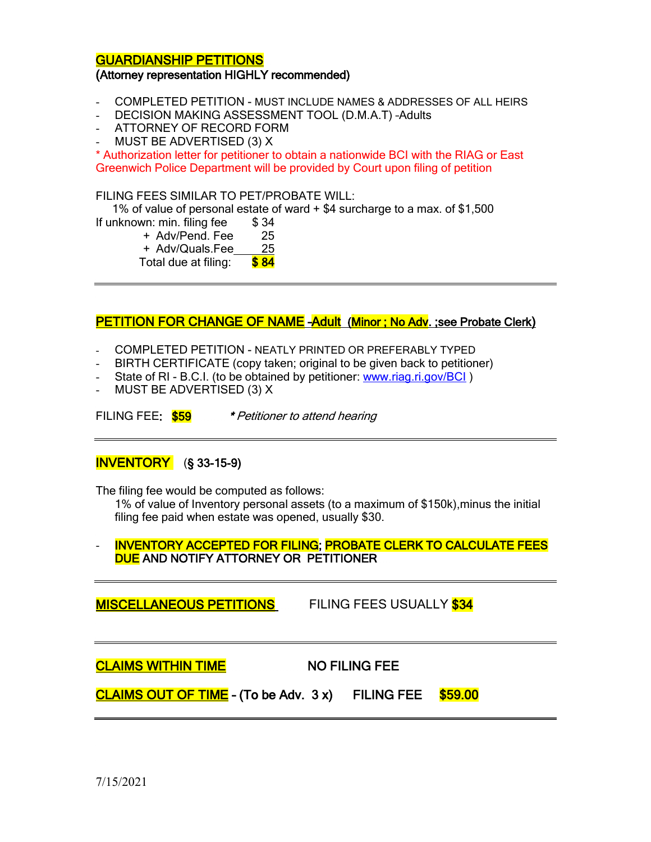#### GUARDIANSHIP PETITIONS

#### (Attorney representation HIGHLY recommended)

- COMPLETED PETITION MUST INCLUDE NAMES & ADDRESSES OF ALL HEIRS
- DECISION MAKING ASSESSMENT TOOL (D.M.A.T) –Adults
- ATTORNEY OF RECORD FORM
- MUST BE ADVERTISED (3) X

\* Authorization letter for petitioner to obtain a nationwide BCI with the RIAG or East Greenwich Police Department will be provided by Court upon filing of petition

FILING FEES SIMILAR TO PET/PROBATE WILL:

1% of value of personal estate of ward + \$4 surcharge to a max. of \$1,500

- If unknown: min. filing fee \$34
	- + Adv/Pend. Fee 25
	- + Adv/Quals.Fee 25
	- Total due at filing: \$84

#### PETITION FOR CHANGE OF NAME - Adult (Minor; No Adv. ; see Probate Clerk)

- COMPLETED PETITION NEATLY PRINTED OR PREFERABLY TYPED
- BIRTH CERTIFICATE (copy taken; original to be given back to petitioner)
- State of RI B.C.I. (to be obtained by petitioner: [www.riag.ri.gov/BCI](http://www.riag.ri.gov/BCI))
- MUST BE ADVERTISED (3) X

FILING FEE:  $$59$  \* Petitioner to attend hearing

### INVENTORY (§ 33-15-9)

The filing fee would be computed as follows:

1% of value of Inventory personal assets (to a maximum of \$150k),minus the initial filing fee paid when estate was opened, usually \$30.

#### - INVENTORY ACCEPTED FOR FILING; PROBATE CLERK TO CALCULATE FEES DUE AND NOTIFY ATTORNEY OR PETITIONER

MISCELLANEOUS PETITIONS FILING FEES USUALLY \$34

CLAIMS WITHIN TIME NO FILING FEE

 $CLAIMS OUT OF TIME - (To be Adv. 3 x)$  FILING FEE  $$59.00$